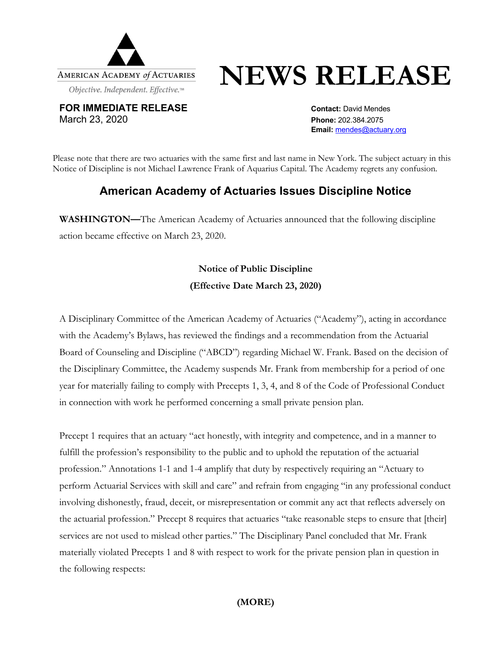

# **NEWS RELEASE**

**FOR IMMEDIATE RELEASE CONTACT:** David Mendes March 23, 2020 **Phone:** 202.384.2075

**Email:** mendes@actuary.org

Please note that there are two actuaries with the same first and last name in New York. The subject actuary in this Notice of Discipline is not Michael Lawrence Frank of Aquarius Capital. The Academy regrets any confusion.

## **American Academy of Actuaries Issues Discipline Notice**

**WASHINGTON—**The American Academy of Actuaries announced that the following discipline action became effective on March 23, 2020.

## **Notice of Public Discipline (Effective Date March 23, 2020)**

A Disciplinary Committee of the American Academy of Actuaries ("Academy"), acting in accordance with the Academy's Bylaws, has reviewed the findings and a recommendation from the Actuarial Board of Counseling and Discipline ("ABCD") regarding Michael W. Frank. Based on the decision of the Disciplinary Committee, the Academy suspends Mr. Frank from membership for a period of one year for materially failing to comply with Precepts 1, 3, 4, and 8 of the Code of Professional Conduct in connection with work he performed concerning a small private pension plan.

Precept 1 requires that an actuary "act honestly, with integrity and competence, and in a manner to fulfill the profession's responsibility to the public and to uphold the reputation of the actuarial profession." Annotations 1-1 and 1-4 amplify that duty by respectively requiring an "Actuary to perform Actuarial Services with skill and care" and refrain from engaging "in any professional conduct involving dishonestly, fraud, deceit, or misrepresentation or commit any act that reflects adversely on the actuarial profession." Precept 8 requires that actuaries "take reasonable steps to ensure that [their] services are not used to mislead other parties." The Disciplinary Panel concluded that Mr. Frank materially violated Precepts 1 and 8 with respect to work for the private pension plan in question in the following respects:

### **(MORE)**